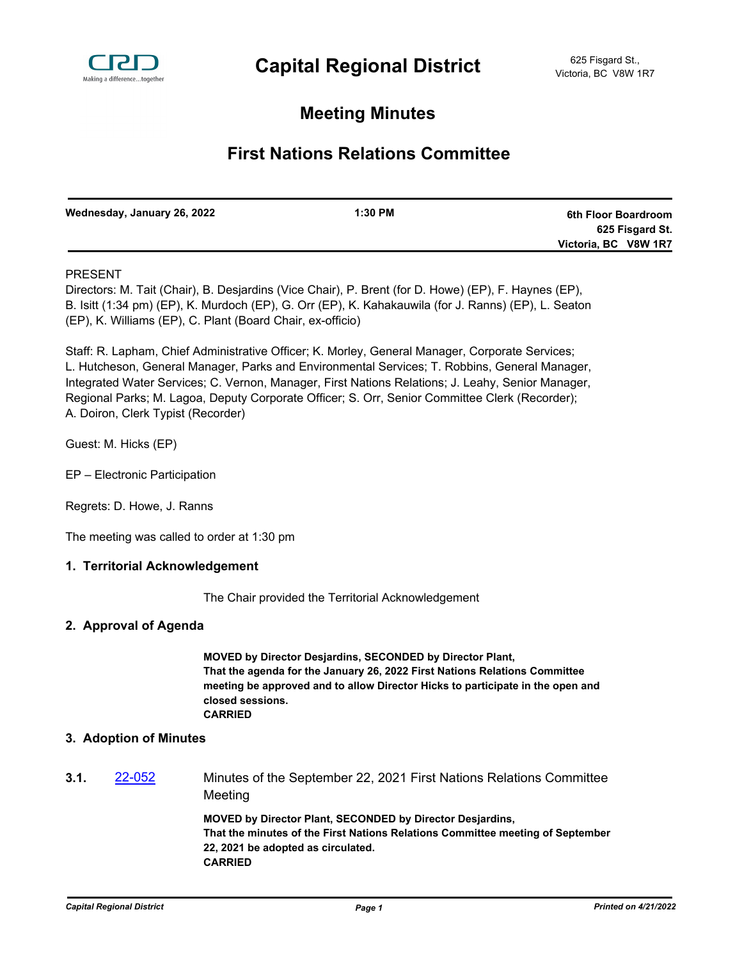

# **Meeting Minutes**

# **First Nations Relations Committee**

| Wednesday, January 26, 2022 | $1:30$ PM | 6th Floor Boardroom  |
|-----------------------------|-----------|----------------------|
|                             |           | 625 Fisgard St.      |
|                             |           | Victoria, BC V8W 1R7 |

# PRESENT

Directors: M. Tait (Chair), B. Desjardins (Vice Chair), P. Brent (for D. Howe) (EP), F. Haynes (EP), B. Isitt (1:34 pm) (EP), K. Murdoch (EP), G. Orr (EP), K. Kahakauwila (for J. Ranns) (EP), L. Seaton (EP), K. Williams (EP), C. Plant (Board Chair, ex-officio)

Staff: R. Lapham, Chief Administrative Officer; K. Morley, General Manager, Corporate Services; L. Hutcheson, General Manager, Parks and Environmental Services; T. Robbins, General Manager, Integrated Water Services; C. Vernon, Manager, First Nations Relations; J. Leahy, Senior Manager, Regional Parks; M. Lagoa, Deputy Corporate Officer; S. Orr, Senior Committee Clerk (Recorder); A. Doiron, Clerk Typist (Recorder)

Guest: M. Hicks (EP)

- EP Electronic Participation
- Regrets: D. Howe, J. Ranns

The meeting was called to order at 1:30 pm

## **1. Territorial Acknowledgement**

The Chair provided the Territorial Acknowledgement

# **2. Approval of Agenda**

**MOVED by Director Desjardins, SECONDED by Director Plant, That the agenda for the January 26, 2022 First Nations Relations Committee meeting be approved and to allow Director Hicks to participate in the open and closed sessions. CARRIED**

# **3. Adoption of Minutes**

**3.1.** [22-052](http://crd.ca.legistar.com/gateway.aspx?m=l&id=/matter.aspx?key=8908) Minutes of the September 22, 2021 First Nations Relations Committee Meeting

> **MOVED by Director Plant, SECONDED by Director Desjardins, That the minutes of the First Nations Relations Committee meeting of September 22, 2021 be adopted as circulated. CARRIED**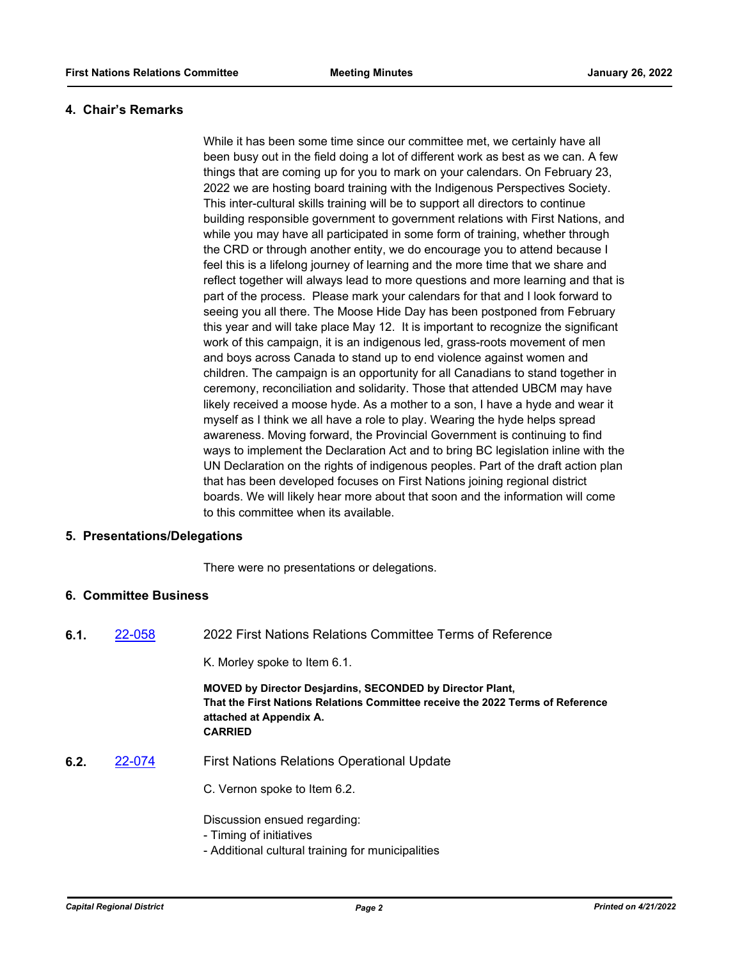### **4. Chair's Remarks**

While it has been some time since our committee met, we certainly have all been busy out in the field doing a lot of different work as best as we can. A few things that are coming up for you to mark on your calendars. On February 23, 2022 we are hosting board training with the Indigenous Perspectives Society. This inter-cultural skills training will be to support all directors to continue building responsible government to government relations with First Nations, and while you may have all participated in some form of training, whether through the CRD or through another entity, we do encourage you to attend because I feel this is a lifelong journey of learning and the more time that we share and reflect together will always lead to more questions and more learning and that is part of the process. Please mark your calendars for that and I look forward to seeing you all there. The Moose Hide Day has been postponed from February this year and will take place May 12. It is important to recognize the significant work of this campaign, it is an indigenous led, grass-roots movement of men and boys across Canada to stand up to end violence against women and children. The campaign is an opportunity for all Canadians to stand together in ceremony, reconciliation and solidarity. Those that attended UBCM may have likely received a moose hyde. As a mother to a son, I have a hyde and wear it myself as I think we all have a role to play. Wearing the hyde helps spread awareness. Moving forward, the Provincial Government is continuing to find ways to implement the Declaration Act and to bring BC legislation inline with the UN Declaration on the rights of indigenous peoples. Part of the draft action plan that has been developed focuses on First Nations joining regional district boards. We will likely hear more about that soon and the information will come to this committee when its available.

## **5. Presentations/Delegations**

There were no presentations or delegations.

## **6. Committee Business**

**6.1.** [22-058](http://crd.ca.legistar.com/gateway.aspx?m=l&id=/matter.aspx?key=8914) 2022 First Nations Relations Committee Terms of Reference

K. Morley spoke to Item 6.1.

**MOVED by Director Desjardins, SECONDED by Director Plant, That the First Nations Relations Committee receive the 2022 Terms of Reference attached at Appendix A. CARRIED**

- **6.2.** [22-074](http://crd.ca.legistar.com/gateway.aspx?m=l&id=/matter.aspx?key=8930) First Nations Relations Operational Update
	- C. Vernon spoke to Item 6.2.

Discussion ensued regarding:

- Timing of initiatives

- Additional cultural training for municipalities